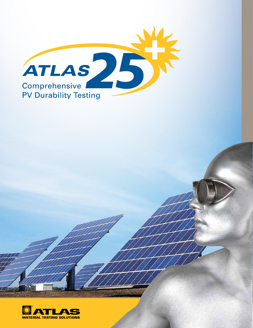

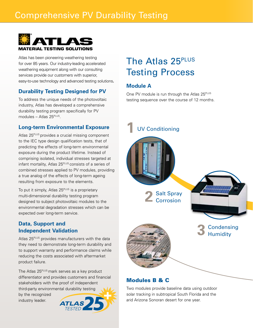### Comprehensive PV Durability Testing



Atlas has been pioneering weathering testing for over 85 years. Our industry-leading accelerated weathering equipment along with our consulting services provide our customers with superior, easy-to-use technology and advanced testing solutions**.**

### **Durability Testing Designed for PV**

To address the unique needs of the photovoltaic industry, Atlas has developed a comprehensive durability testing program specifically for PV modules – Atlas  $25^{PLUS}$ .

### **Long-term Environmental Exposure**

Atlas 25<sup>PLUS</sup> provides a crucial missing component to the IEC type design qualification tests, that of predicting the effects of long-term environmental exposure during the product lifetime. Instead of comprising isolated, individual stresses targeted at infant mortality, Atlas 25<sup>PLUS</sup> consists of a series of combined stresses applied to PV modules, providing a true analog of the effects of long-term ageing resulting from exposure to the elements.

To put it simply, Atlas 25<sup>PLUS</sup> is a proprietary multi-dimensional durability testing program designed to subject photovoltaic modules to the environmental degradation stresses which can be expected over long-term service.

### **Data, Support and Independent Validation**

Atlas 25<sup>PLUS</sup> provides manufacturers with the data they need to demonstrate long-term durability and to support warranty and performance claims while reducing the costs associated with aftermarket product failure.

The Atlas 25<sup>PLUS</sup> mark serves as a key product differentiator and provides customers and financial stakeholders with the proof of independent third-party environmental durability testing





## The Atlas 25<sup>PLUS</sup> Testing Process

### **Module A**

One PV module is run through the Atlas 25<sup>PLUS</sup> testing sequence over the course of 12 months.



### Modules B & C

Two modules provide baseline data using outdoor solar tracking in subtropical South Florida and the arid Arizona Sonoran desert for one year.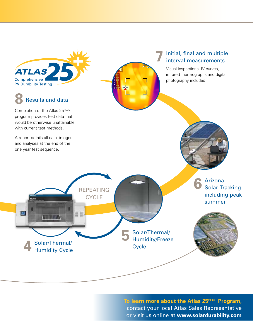**ATLAS** Comprehensive I **PV Durability Testing** 

# **8** Results and data

Completion of the Atlas 25<sup>PLUS</sup> program provides test data that would be otherwise unattainable with current test methods.

A report details all data, images and analyses at the end of the one year test sequence.

**4** Solar/Thermal/ Humidity Cycle

A THE

IJ

### **7** Initial, final and multiple interval measurements

Visual inspections, IV curves, infrared thermographs and digital photography included.

> **6** Arizona<br>**6** Solar Tracking including peak summer

**To learn more about the Atlas 25PLUS Program,** contact your local Atlas Sales Representative or visit us online at **www.solardurability.com**

**5** Solar/Thermal/ Humidity/Freeze

**Cycle** 

Repeating **CYCLE** 

⊪ ‼